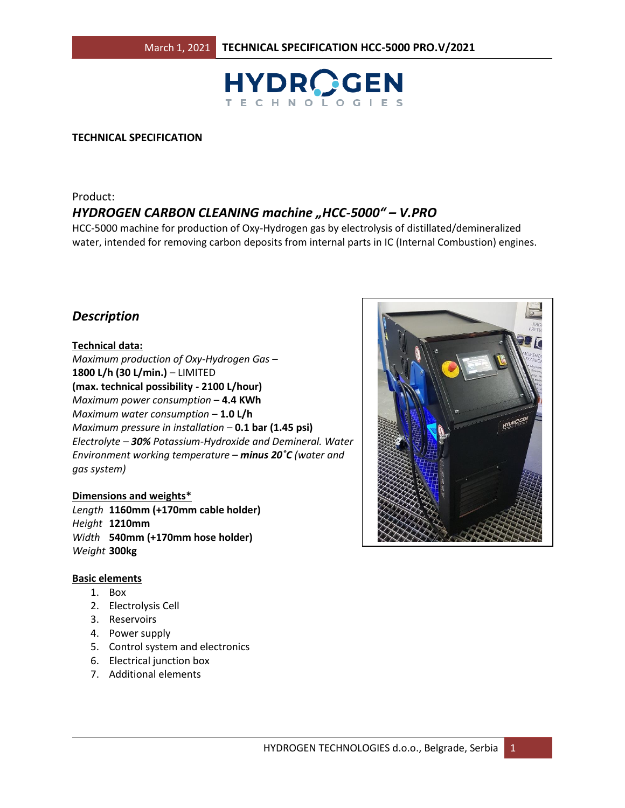

#### **TECHNICAL SPECIFICATION**

# Product: *HYDROGEN CARBON CLEANING machine "HCC-5000" – V.PRO*

HCC-5000 machine for production of Oxy-Hydrogen gas by electrolysis of distillated/demineralized water, intended for removing carbon deposits from internal parts in IC (Internal Combustion) engines.

# *Description*

#### **Technical data:**

*Maximum production of Oxy-Hydrogen Gas* – **1800 L/h (30 L/min.)** – LIMITED **(max. technical possibility - 2100 L/hour)** *Maximum power consumption* – **4.4 KWh** *Maximum water consumption* – **1.0 L/h** *Maximum pressure in installation* – **0.1 bar (1.45 psi)** *Electrolyte – 30% Potassium-Hydroxide and Demineral. Water Environment working temperature – minus 20˚C (water and gas system)*

#### **Dimensions and weights\***

*Length* **1160mm (+170mm cable holder)** *Height* **1210mm** *Width* **540mm (+170mm hose holder)**  *Weight* **300kg**

#### **Basic elements**

- 1. Box
- 2. Electrolysis Cell
- 3. Reservoirs
- 4. Power supply
- 5. Control system and electronics
- 6. Electrical junction box
- 7. Additional elements

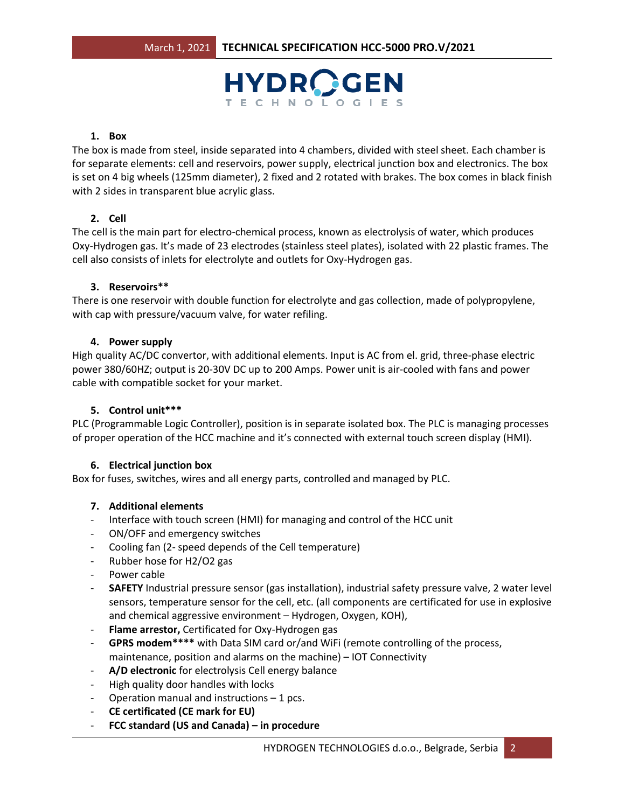

#### **1. Box**

The box is made from steel, inside separated into 4 chambers, divided with steel sheet. Each chamber is for separate elements: cell and reservoirs, power supply, electrical junction box and electronics. The box is set on 4 big wheels (125mm diameter), 2 fixed and 2 rotated with brakes. The box comes in black finish with 2 sides in transparent blue acrylic glass.

# **2. Cell**

The cell is the main part for electro-chemical process, known as electrolysis of water, which produces Oxy-Hydrogen gas. It's made of 23 electrodes (stainless steel plates), isolated with 22 plastic frames. The cell also consists of inlets for electrolyte and outlets for Oxy-Hydrogen gas.

#### **3. Reservoirs\*\***

There is one reservoir with double function for electrolyte and gas collection, made of polypropylene, with cap with pressure/vacuum valve, for water refiling.

# **4. Power supply**

High quality AC/DC convertor, with additional elements. Input is AC from el. grid, three-phase electric power 380/60HZ; output is 20-30V DC up to 200 Amps. Power unit is air-cooled with fans and power cable with compatible socket for your market.

# **5. Control unit\*\*\***

PLC (Programmable Logic Controller), position is in separate isolated box. The PLC is managing processes of proper operation of the HCC machine and it's connected with external touch screen display (HMI).

# **6. Electrical junction box**

Box for fuses, switches, wires and all energy parts, controlled and managed by PLC.

# **7. Additional elements**

- Interface with touch screen (HMI) for managing and control of the HCC unit
- ON/OFF and emergency switches
- Cooling fan (2- speed depends of the Cell temperature)
- Rubber hose for H2/O2 gas
- Power cable
- **SAFETY** Industrial pressure sensor (gas installation), industrial safety pressure valve, 2 water level sensors, temperature sensor for the cell, etc. (all components are certificated for use in explosive and chemical aggressive environment – Hydrogen, Oxygen, KOH),
- **Flame arrestor,** Certificated for Oxy-Hydrogen gas
- **GPRS modem\*\*\*\*** with Data SIM card or/and WiFi (remote controlling of the process, maintenance, position and alarms on the machine) – IOT Connectivity
- A/D electronic for electrolysis Cell energy balance
- High quality door handles with locks
- Operation manual and instructions  $-1$  pcs.
- **CE certificated (CE mark for EU)**
- **FCC standard (US and Canada) – in procedure**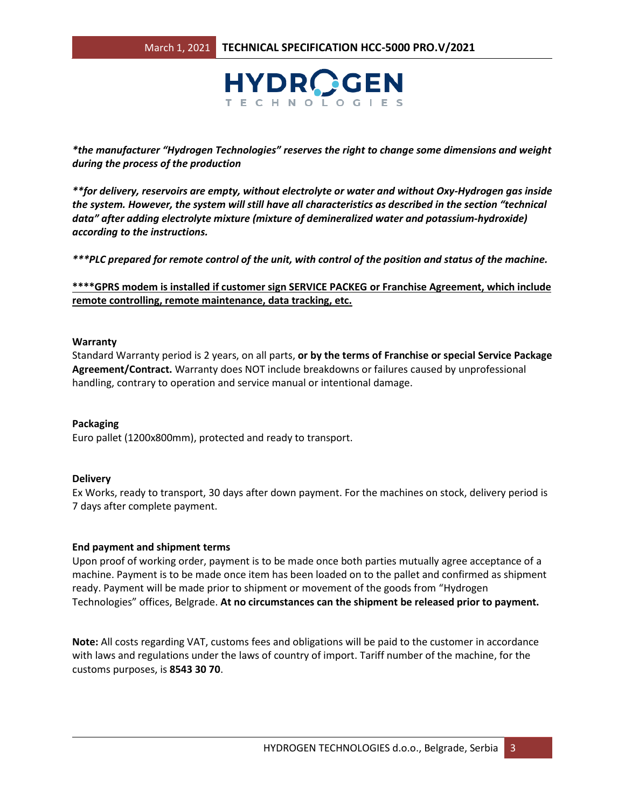

*\*the manufacturer "Hydrogen Technologies" reserves the right to change some dimensions and weight during the process of the production*

*\*\*for delivery, reservoirs are empty, without electrolyte or water and without Oxy-Hydrogen gas inside the system. However, the system will still have all characteristics as described in the section "technical data" after adding electrolyte mixture (mixture of demineralized water and potassium-hydroxide) according to the instructions.*

*\*\*\*PLC prepared for remote control of the unit, with control of the position and status of the machine.* 

**\*\*\*\*GPRS modem is installed if customer sign SERVICE PACKEG or Franchise Agreement, which include remote controlling, remote maintenance, data tracking, etc.**

#### **Warranty**

Standard Warranty period is 2 years, on all parts, **or by the terms of Franchise or special Service Package Agreement/Contract.** Warranty does NOT include breakdowns or failures caused by unprofessional handling, contrary to operation and service manual or intentional damage.

#### **Packaging**

Euro pallet (1200x800mm), protected and ready to transport.

#### **Delivery**

Ex Works, ready to transport, 30 days after down payment. For the machines on stock, delivery period is 7 days after complete payment.

# **End payment and shipment terms**

Upon proof of working order, payment is to be made once both parties mutually agree acceptance of a machine. Payment is to be made once item has been loaded on to the pallet and confirmed as shipment ready. Payment will be made prior to shipment or movement of the goods from "Hydrogen Technologies" offices, Belgrade. **At no circumstances can the shipment be released prior to payment.** 

**Note:** All costs regarding VAT, customs fees and obligations will be paid to the customer in accordance with laws and regulations under the laws of country of import. Tariff number of the machine, for the customs purposes, is **8543 30 70**.